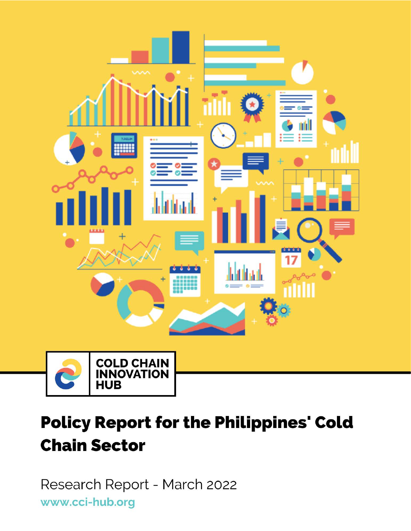

# **Policy Report for the Philippines' Cold Chain Sector**

Research Report - March 2022 www.cci-hub.org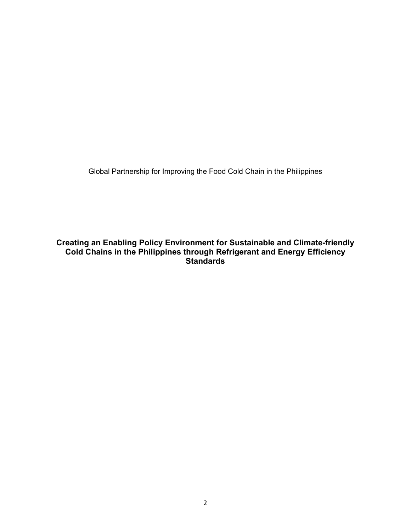Global Partnership for Improving the Food Cold Chain in the Philippines

**Creating an Enabling Policy Environment for Sustainable and Climate-friendly Cold Chains in the Philippines through Refrigerant and Energy Efficiency Standards**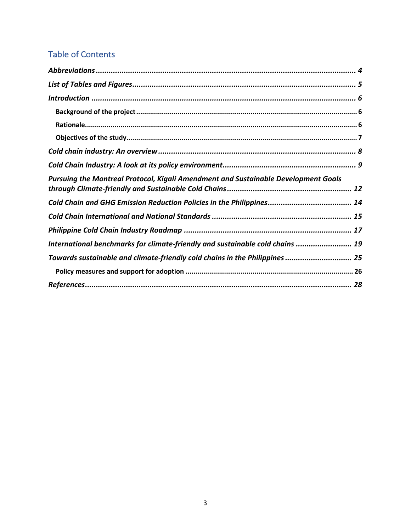# Table of Contents

| Pursuing the Montreal Protocol, Kigali Amendment and Sustainable Development Goals |
|------------------------------------------------------------------------------------|
|                                                                                    |
|                                                                                    |
|                                                                                    |
| International benchmarks for climate-friendly and sustainable cold chains  19      |
| Towards sustainable and climate-friendly cold chains in the Philippines 25         |
|                                                                                    |
|                                                                                    |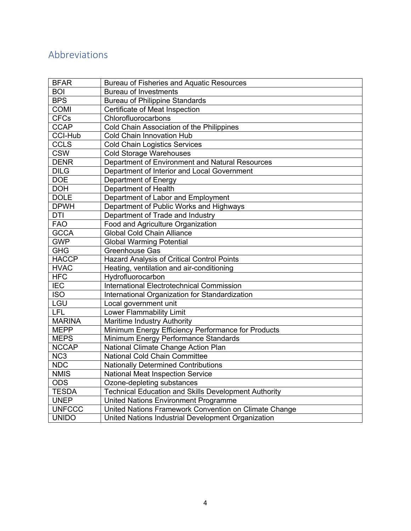# Abbreviations

| <b>BFAR</b>     | <b>Bureau of Fisheries and Aquatic Resources</b>            |
|-----------------|-------------------------------------------------------------|
| <b>BOI</b>      | <b>Bureau of Investments</b>                                |
| <b>BPS</b>      | <b>Bureau of Philippine Standards</b>                       |
| <b>COMI</b>     | Certificate of Meat Inspection                              |
| <b>CFCs</b>     | Chlorofluorocarbons                                         |
| <b>CCAP</b>     | Cold Chain Association of the Philippines                   |
| CCI-Hub         | <b>Cold Chain Innovation Hub</b>                            |
| <b>CCLS</b>     | <b>Cold Chain Logistics Services</b>                        |
| <b>CSW</b>      | <b>Cold Storage Warehouses</b>                              |
| <b>DENR</b>     | Department of Environment and Natural Resources             |
| <b>DILG</b>     | Department of Interior and Local Government                 |
| <b>DOE</b>      | Department of Energy                                        |
| <b>DOH</b>      | Department of Health                                        |
| <b>DOLE</b>     | Department of Labor and Employment                          |
| <b>DPWH</b>     | Department of Public Works and Highways                     |
| <b>DTI</b>      | Department of Trade and Industry                            |
| <b>FAO</b>      | Food and Agriculture Organization                           |
| <b>GCCA</b>     | <b>Global Cold Chain Alliance</b>                           |
| <b>GWP</b>      | <b>Global Warming Potential</b>                             |
| <b>GHG</b>      | <b>Greenhouse Gas</b>                                       |
| <b>HACCP</b>    | Hazard Analysis of Critical Control Points                  |
| <b>HVAC</b>     | Heating, ventilation and air-conditioning                   |
| <b>HFC</b>      | Hydrofluorocarbon                                           |
| <b>IEC</b>      | <b>International Electrotechnical Commission</b>            |
| <b>ISO</b>      | International Organization for Standardization              |
| LGU             | Local government unit                                       |
| <b>LFL</b>      | Lower Flammability Limit                                    |
| <b>MARINA</b>   | Maritime Industry Authority                                 |
| <b>MEPP</b>     | Minimum Energy Efficiency Performance for Products          |
| <b>MEPS</b>     | Minimum Energy Performance Standards                        |
| <b>NCCAP</b>    | National Climate Change Action Plan                         |
| NC <sub>3</sub> | National Cold Chain Committee                               |
| <b>NDC</b>      | <b>Nationally Determined Contributions</b>                  |
| <b>NMIS</b>     | National Meat Inspection Service                            |
| <b>ODS</b>      | Ozone-depleting substances                                  |
| <b>TESDA</b>    | <b>Technical Education and Skills Development Authority</b> |
| <b>UNEP</b>     | United Nations Environment Programme                        |
| <b>UNFCCC</b>   | United Nations Framework Convention on Climate Change       |
| <b>UNIDO</b>    | United Nations Industrial Development Organization          |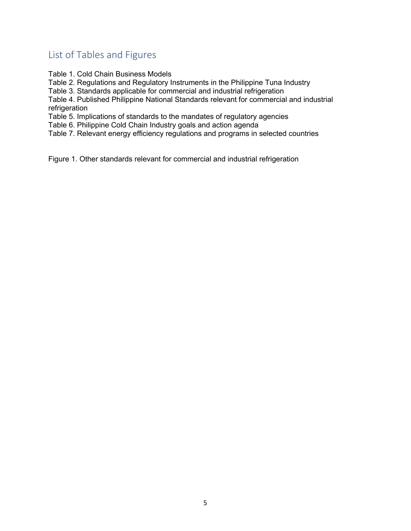## List of Tables and Figures

Table 1. Cold Chain Business Models

Table 2. Regulations and Regulatory Instruments in the Philippine Tuna Industry

Table 3. Standards applicable for commercial and industrial refrigeration

Table 4. Published Philippine National Standards relevant for commercial and industrial refrigeration

Table 5. Implications of standards to the mandates of regulatory agencies

Table 6. Philippine Cold Chain Industry goals and action agenda

Table 7. Relevant energy efficiency regulations and programs in selected countries

Figure 1. Other standards relevant for commercial and industrial refrigeration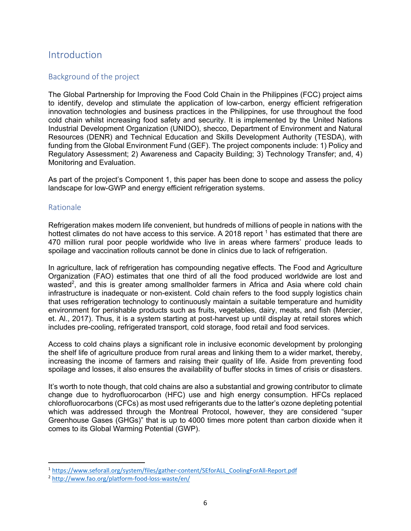#### **Introduction**

#### Background of the project

The Global Partnership for Improving the Food Cold Chain in the Philippines (FCC) project aims to identify, develop and stimulate the application of low-carbon, energy efficient refrigeration innovation technologies and business practices in the Philippines, for use throughout the food cold chain whilst increasing food safety and security. It is implemented by the United Nations Industrial Development Organization (UNIDO), shecco, Department of Environment and Natural Resources (DENR) and Technical Education and Skills Development Authority (TESDA), with funding from the Global Environment Fund (GEF). The project components include: 1) Policy and Regulatory Assessment; 2) Awareness and Capacity Building; 3) Technology Transfer; and, 4) Monitoring and Evaluation.

As part of the project's Component 1, this paper has been done to scope and assess the policy landscape for low-GWP and energy efficient refrigeration systems.

#### Rationale

Refrigeration makes modern life convenient, but hundreds of millions of people in nations with the hottest climates do not have access to this service. A 2018 report  $<sup>1</sup>$  has estimated that there are</sup> 470 million rural poor people worldwide who live in areas where farmers' produce leads to spoilage and vaccination rollouts cannot be done in clinics due to lack of refrigeration.

In agriculture, lack of refrigeration has compounding negative effects. The Food and Agriculture Organization (FAO) estimates that one third of all the food produced worldwide are lost and wasted<sup>2</sup>, and this is greater among smallholder farmers in Africa and Asia where cold chain infrastructure is inadequate or non-existent. Cold chain refers to the food supply logistics chain that uses refrigeration technology to continuously maintain a suitable temperature and humidity environment for perishable products such as fruits, vegetables, dairy, meats, and fish (Mercier, et. Al., 2017). Thus, it is a system starting at post-harvest up until display at retail stores which includes pre-cooling, refrigerated transport, cold storage, food retail and food services.

Access to cold chains plays a significant role in inclusive economic development by prolonging the shelf life of agriculture produce from rural areas and linking them to a wider market, thereby, increasing the income of farmers and raising their quality of life. Aside from preventing food spoilage and losses, it also ensures the availability of buffer stocks in times of crisis or disasters.

It's worth to note though, that cold chains are also a substantial and growing contributor to climate change due to hydrofluorocarbon (HFC) use and high energy consumption. HFCs replaced chlorofluorocarbons (CFCs) as most used refrigerants due to the latter's ozone depleting potential which was addressed through the Montreal Protocol, however, they are considered "super Greenhouse Gases (GHGs)" that is up to 4000 times more potent than carbon dioxide when it comes to its Global Warming Potential (GWP).

<sup>1</sup> https://www.seforall.org/system/files/gather-content/SEforALL\_CoolingForAll-Report.pdf

<sup>2</sup> http://www.fao.org/platform-food-loss-waste/en/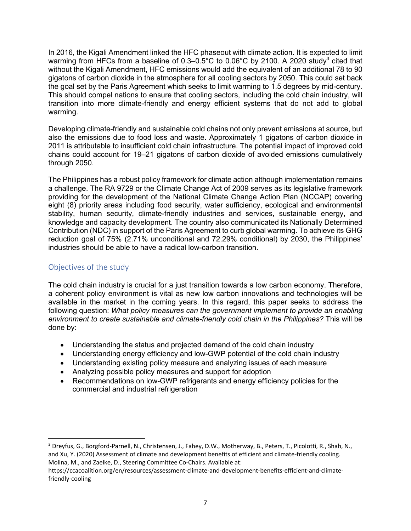In 2016, the Kigali Amendment linked the HFC phaseout with climate action. It is expected to limit warming from HFCs from a baseline of  $0.3-0.5^{\circ}$ C to  $0.06^{\circ}$ C by 2100. A 2020 study<sup>3</sup> cited that without the Kigali Amendment, HFC emissions would add the equivalent of an additional 78 to 90 gigatons of carbon dioxide in the atmosphere for all cooling sectors by 2050. This could set back the goal set by the Paris Agreement which seeks to limit warming to 1.5 degrees by mid-century. This should compel nations to ensure that cooling sectors, including the cold chain industry, will transition into more climate-friendly and energy efficient systems that do not add to global warming.

Developing climate-friendly and sustainable cold chains not only prevent emissions at source, but also the emissions due to food loss and waste. Approximately 1 gigatons of carbon dioxide in 2011 is attributable to insufficient cold chain infrastructure. The potential impact of improved cold chains could account for 19–21 gigatons of carbon dioxide of avoided emissions cumulatively through 2050.

The Philippines has a robust policy framework for climate action although implementation remains a challenge. The RA 9729 or the Climate Change Act of 2009 serves as its legislative framework providing for the development of the National Climate Change Action Plan (NCCAP) covering eight (8) priority areas including food security, water sufficiency, ecological and environmental stability, human security, climate-friendly industries and services, sustainable energy, and knowledge and capacity development. The country also communicated its Nationally Determined Contribution (NDC) in support of the Paris Agreement to curb global warming. To achieve its GHG reduction goal of 75% (2.71% unconditional and 72.29% conditional) by 2030, the Philippines' industries should be able to have a radical low-carbon transition.

#### Objectives of the study

The cold chain industry is crucial for a just transition towards a low carbon economy. Therefore, a coherent policy environment is vital as new low carbon innovations and technologies will be available in the market in the coming years. In this regard, this paper seeks to address the following question: *What policy measures can the government implement to provide an enabling environment to create sustainable and climate-friendly cold chain in the Philippines?* This will be done by:

- Understanding the status and projected demand of the cold chain industry
- Understanding energy efficiency and low-GWP potential of the cold chain industry
- Understanding existing policy measure and analyzing issues of each measure
- Analyzing possible policy measures and support for adoption
- Recommendations on low-GWP refrigerants and energy efficiency policies for the commercial and industrial refrigeration

<sup>3</sup> Dreyfus, G., Borgford-Parnell, N., Christensen, J., Fahey, D.W., Motherway, B., Peters, T., Picolotti, R., Shah, N., and Xu, Y. (2020) Assessment of climate and development benefits of efficient and climate-friendly cooling. Molina, M., and Zaelke, D., Steering Committee Co-Chairs. Available at:

https://ccacoalition.org/en/resources/assessment-climate-and-development-benefits-efficient-and-climatefriendly-cooling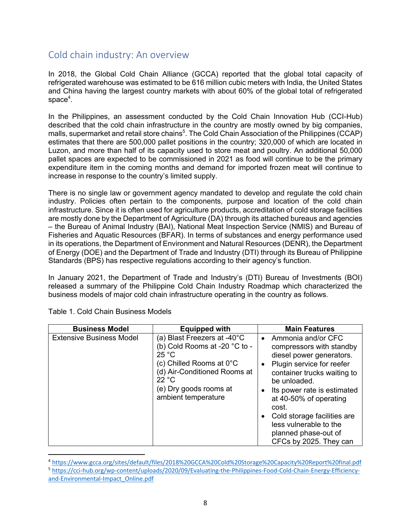## Cold chain industry: An overview

In 2018, the Global Cold Chain Alliance (GCCA) reported that the global total capacity of refrigerated warehouse was estimated to be 616 million cubic meters with India, the United States and China having the largest country markets with about 60% of the global total of refrigerated  $space<sup>4</sup>$ .

In the Philippines, an assessment conducted by the Cold Chain Innovation Hub (CCI-Hub) described that the cold chain infrastructure in the country are mostly owned by big companies, malls, supermarket and retail store chains<sup>5</sup>. The Cold Chain Association of the Philippines (CCAP) estimates that there are 500,000 pallet positions in the country; 320,000 of which are located in Luzon, and more than half of its capacity used to store meat and poultry. An additional 50,000 pallet spaces are expected to be commissioned in 2021 as food will continue to be the primary expenditure item in the coming months and demand for imported frozen meat will continue to increase in response to the country's limited supply.

There is no single law or government agency mandated to develop and regulate the cold chain industry. Policies often pertain to the components, purpose and location of the cold chain infrastructure. Since it is often used for agriculture products, accreditation of cold storage facilities are mostly done by the Department of Agriculture (DA) through its attached bureaus and agencies – the Bureau of Animal Industry (BAI), National Meat Inspection Service (NMIS) and Bureau of Fisheries and Aquatic Resources (BFAR). In terms of substances and energy performance used in its operations, the Department of Environment and Natural Resources (DENR), the Department of Energy (DOE) and the Department of Trade and Industry (DTI) through its Bureau of Philippine Standards (BPS) has respective regulations according to their agency's function.

In January 2021, the Department of Trade and Industry's (DTI) Bureau of Investments (BOI) released a summary of the Philippine Cold Chain Industry Roadmap which characterized the business models of major cold chain infrastructure operating in the country as follows.

| <b>Business Model</b>           | <b>Equipped with</b>                                                                                                                                                                                  | <b>Main Features</b>                                                                                                                                                                                                                                                                                                                |
|---------------------------------|-------------------------------------------------------------------------------------------------------------------------------------------------------------------------------------------------------|-------------------------------------------------------------------------------------------------------------------------------------------------------------------------------------------------------------------------------------------------------------------------------------------------------------------------------------|
| <b>Extensive Business Model</b> | (a) Blast Freezers at -40°C<br>(b) Cold Rooms at -20 °C to -<br>25 °C<br>(c) Chilled Rooms at $0^{\circ}$ C<br>(d) Air-Conditioned Rooms at<br>22 °C<br>(e) Dry goods rooms at<br>ambient temperature | Ammonia and/or CFC<br>compressors with standby<br>diesel power generators.<br>Plugin service for reefer<br>container trucks waiting to<br>be unloaded.<br>Its power rate is estimated<br>at 40-50% of operating<br>cost.<br>Cold storage facilities are<br>less vulnerable to the<br>planned phase-out of<br>CFCs by 2025. They can |

Table 1. Cold Chain Business Models

<sup>4</sup> https://www.gcca.org/sites/default/files/2018%20GCCA%20Cold%20Storage%20Capacity%20Report%20final.pdf <sup>5</sup> https://cci-hub.org/wp-content/uploads/2020/09/Evaluating-the-Philippines-Food-Cold-Chain-Energy-Efficiency-

and-Environmental-Impact\_Online.pdf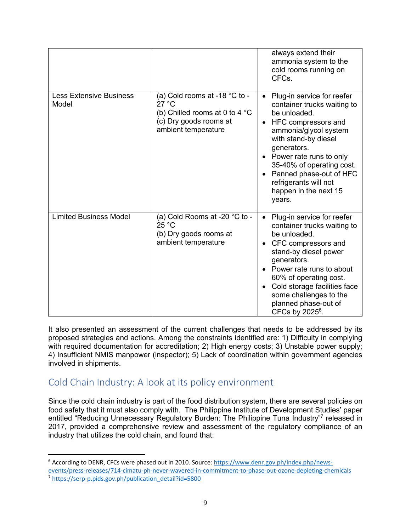|                                         |                                                                                                                                     | always extend their<br>ammonia system to the<br>cold rooms running on<br>CFC <sub>s</sub> .                                                                                                                                                                                                                       |
|-----------------------------------------|-------------------------------------------------------------------------------------------------------------------------------------|-------------------------------------------------------------------------------------------------------------------------------------------------------------------------------------------------------------------------------------------------------------------------------------------------------------------|
| <b>Less Extensive Business</b><br>Model | (a) Cold rooms at -18 °C to -<br>27 °C<br>(b) Chilled rooms at 0 to 4 $^{\circ}$ C<br>(c) Dry goods rooms at<br>ambient temperature | Plug-in service for reefer<br>container trucks waiting to<br>be unloaded.<br>HFC compressors and<br>ammonia/glycol system<br>with stand-by diesel<br>generators.<br>• Power rate runs to only<br>35-40% of operating cost.<br>Panned phase-out of HFC<br>refrigerants will not<br>happen in the next 15<br>years. |
| <b>Limited Business Model</b>           | (a) Cold Rooms at -20 °C to -<br>25 °C<br>(b) Dry goods rooms at<br>ambient temperature                                             | Plug-in service for reefer<br>container trucks waiting to<br>be unloaded.<br>CFC compressors and<br>stand-by diesel power<br>generators.<br>Power rate runs to about<br>60% of operating cost.<br>Cold storage facilities face<br>some challenges to the<br>planned phase-out of<br>CFCs by $2025^6$ .            |

It also presented an assessment of the current challenges that needs to be addressed by its proposed strategies and actions. Among the constraints identified are: 1) Difficulty in complying with required documentation for accreditation; 2) High energy costs; 3) Unstable power supply; 4) Insufficient NMIS manpower (inspector); 5) Lack of coordination within government agencies involved in shipments.

## Cold Chain Industry: A look at its policy environment

Since the cold chain industry is part of the food distribution system, there are several policies on food safety that it must also comply with. The Philippine Institute of Development Studies' paper entitled "Reducing Unnecessary Regulatory Burden: The Philippine Tuna Industry"<sup>7</sup> released in 2017, provided a comprehensive review and assessment of the regulatory compliance of an industry that utilizes the cold chain, and found that:

<sup>6</sup> According to DENR, CFCs were phased out in 2010. Source: https://www.denr.gov.ph/index.php/newsevents/press-releases/714-cimatu-ph-never-wavered-in-commitment-to-phase-out-ozone-depleting-chemicals <sup>7</sup> https://serp-p.pids.gov.ph/publication\_detail?id=5800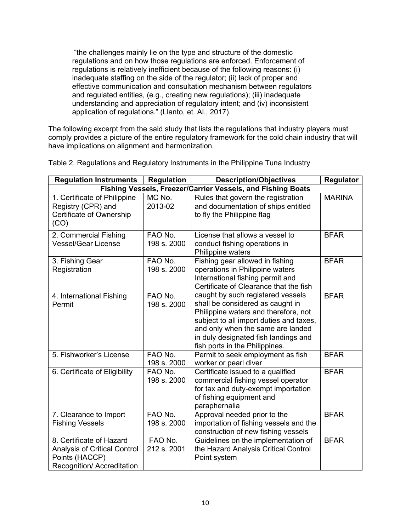"the challenges mainly lie on the type and structure of the domestic regulations and on how those regulations are enforced. Enforcement of regulations is relatively inefficient because of the following reasons: (i) inadequate staffing on the side of the regulator; (ii) lack of proper and effective communication and consultation mechanism between regulators and regulated entities, (e.g., creating new regulations); (iii) inadequate understanding and appreciation of regulatory intent; and (iv) inconsistent application of regulations." (Llanto, et. Al., 2017).

The following excerpt from the said study that lists the regulations that industry players must comply provides a picture of the entire regulatory framework for the cold chain industry that will have implications on alignment and harmonization.

| <b>Regulation Instruments</b>                                                                                   | <b>Regulation</b>      | <b>Description/Objectives</b>                                                                                                                                                                                                                                           | Regulator     |
|-----------------------------------------------------------------------------------------------------------------|------------------------|-------------------------------------------------------------------------------------------------------------------------------------------------------------------------------------------------------------------------------------------------------------------------|---------------|
| Fishing Vessels, Freezer/Carrier Vessels, and Fishing Boats                                                     |                        |                                                                                                                                                                                                                                                                         |               |
| 1. Certificate of Philippine<br>Registry (CPR) and<br>Certificate of Ownership<br>(CO)                          | MC No.<br>2013-02      | Rules that govern the registration<br>and documentation of ships entitled<br>to fly the Philippine flag                                                                                                                                                                 | <b>MARINA</b> |
| 2. Commercial Fishing<br><b>Vessel/Gear License</b>                                                             | FAO No.<br>198 s. 2000 | License that allows a vessel to<br>conduct fishing operations in<br>Philippine waters                                                                                                                                                                                   | <b>BFAR</b>   |
| 3. Fishing Gear<br>Registration                                                                                 | FAO No.<br>198 s. 2000 | Fishing gear allowed in fishing<br>operations in Philippine waters<br>International fishing permit and<br>Certificate of Clearance that the fish                                                                                                                        | <b>BFAR</b>   |
| 4. International Fishing<br>Permit                                                                              | FAO No.<br>198 s. 2000 | caught by such registered vessels<br>shall be considered as caught in<br>Philippine waters and therefore, not<br>subject to all import duties and taxes,<br>and only when the same are landed<br>in duly designated fish landings and<br>fish ports in the Philippines. | <b>BFAR</b>   |
| 5. Fishworker's License                                                                                         | FAO No.<br>198 s. 2000 | Permit to seek employment as fish<br>worker or pearl diver                                                                                                                                                                                                              | <b>BFAR</b>   |
| 6. Certificate of Eligibility                                                                                   | FAO No.<br>198 s. 2000 | Certificate issued to a qualified<br>commercial fishing vessel operator<br>for tax and duty-exempt importation<br>of fishing equipment and<br>paraphernalia                                                                                                             | <b>BFAR</b>   |
| 7. Clearance to Import<br><b>Fishing Vessels</b>                                                                | FAO No.<br>198 s. 2000 | Approval needed prior to the<br>importation of fishing vessels and the<br>construction of new fishing vessels                                                                                                                                                           | <b>BFAR</b>   |
| 8. Certificate of Hazard<br><b>Analysis of Critical Control</b><br>Points (HACCP)<br>Recognition/ Accreditation | FAO No.<br>212 s. 2001 | Guidelines on the implementation of<br>the Hazard Analysis Critical Control<br>Point system                                                                                                                                                                             | <b>BFAR</b>   |

Table 2. Regulations and Regulatory Instruments in the Philippine Tuna Industry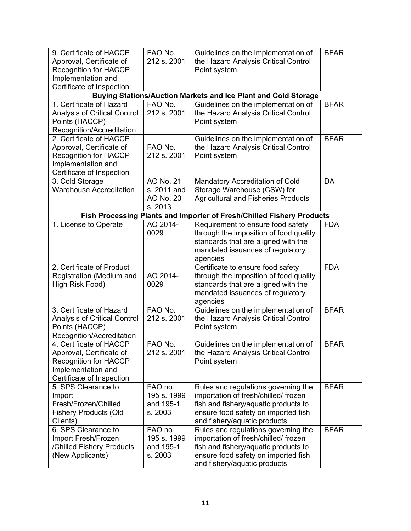| 9. Certificate of HACCP<br>Approval, Certificate of | FAO No.<br>212 s. 2001 | Guidelines on the implementation of<br>the Hazard Analysis Critical Control | <b>BFAR</b> |
|-----------------------------------------------------|------------------------|-----------------------------------------------------------------------------|-------------|
| <b>Recognition for HACCP</b>                        |                        | Point system                                                                |             |
| Implementation and                                  |                        |                                                                             |             |
| Certificate of Inspection                           |                        |                                                                             |             |
|                                                     |                        | <b>Buying Stations/Auction Markets and Ice Plant and Cold Storage</b>       |             |
| 1. Certificate of Hazard                            | FAO No.                | Guidelines on the implementation of                                         | <b>BFAR</b> |
| <b>Analysis of Critical Control</b>                 | 212 s. 2001            | the Hazard Analysis Critical Control                                        |             |
| Points (HACCP)                                      |                        | Point system                                                                |             |
| Recognition/Accreditation                           |                        |                                                                             |             |
| 2. Certificate of HACCP                             |                        | Guidelines on the implementation of                                         | <b>BFAR</b> |
| Approval, Certificate of                            | FAO No.                | the Hazard Analysis Critical Control                                        |             |
| <b>Recognition for HACCP</b>                        | 212 s. 2001            | Point system                                                                |             |
| Implementation and                                  |                        |                                                                             |             |
| Certificate of Inspection                           |                        |                                                                             |             |
| 3. Cold Storage                                     | AO No. 21              | Mandatory Accreditation of Cold                                             | DA          |
| <b>Warehouse Accreditation</b>                      | s. 2011 and            | Storage Warehouse (CSW) for                                                 |             |
|                                                     | AO No. 23              | <b>Agricultural and Fisheries Products</b>                                  |             |
|                                                     | s. 2013                |                                                                             |             |
|                                                     |                        | Fish Processing Plants and Importer of Fresh/Chilled Fishery Products       |             |
| 1. License to Operate                               | AO 2014-               | Requirement to ensure food safety                                           | <b>FDA</b>  |
|                                                     | 0029                   | through the imposition of food quality                                      |             |
|                                                     |                        | standards that are aligned with the                                         |             |
|                                                     |                        | mandated issuances of regulatory                                            |             |
|                                                     |                        | agencies                                                                    |             |
| 2. Certificate of Product                           |                        | Certificate to ensure food safety                                           | <b>FDA</b>  |
| Registration (Medium and                            | AO 2014-               | through the imposition of food quality                                      |             |
| High Risk Food)                                     | 0029                   | standards that are aligned with the                                         |             |
|                                                     |                        | mandated issuances of regulatory                                            |             |
|                                                     |                        | agencies                                                                    |             |
| 3. Certificate of Hazard                            | FAO No.                | Guidelines on the implementation of                                         | <b>BFAR</b> |
| <b>Analysis of Critical Control</b>                 | 212 s. 2001            | the Hazard Analysis Critical Control                                        |             |
| Points (HACCP)                                      |                        | Point system                                                                |             |
| Recognition/Accreditation                           |                        |                                                                             |             |
| 4. Certificate of HACCP                             | FAO No.                | Guidelines on the implementation of                                         | <b>BFAR</b> |
| Approval, Certificate of                            | 212 s. 2001            | the Hazard Analysis Critical Control                                        |             |
| Recognition for HACCP                               |                        | Point system                                                                |             |
| Implementation and                                  |                        |                                                                             |             |
| Certificate of Inspection                           |                        |                                                                             |             |
| 5. SPS Clearance to                                 | FAO no.<br>195 s. 1999 | Rules and regulations governing the                                         | <b>BFAR</b> |
| Import<br>Fresh/Frozen/Chilled                      | and 195-1              | importation of fresh/chilled/frozen<br>fish and fishery/aquatic products to |             |
| <b>Fishery Products (Old</b>                        | s. 2003                | ensure food safety on imported fish                                         |             |
| Clients)                                            |                        | and fishery/aquatic products                                                |             |
| 6. SPS Clearance to                                 | FAO no.                | Rules and regulations governing the                                         | <b>BFAR</b> |
| Import Fresh/Frozen                                 | 195 s. 1999            | importation of fresh/chilled/frozen                                         |             |
| /Chilled Fishery Products                           | and 195-1              | fish and fishery/aquatic products to                                        |             |
| (New Applicants)                                    | s. 2003                | ensure food safety on imported fish                                         |             |
|                                                     |                        | and fishery/aquatic products                                                |             |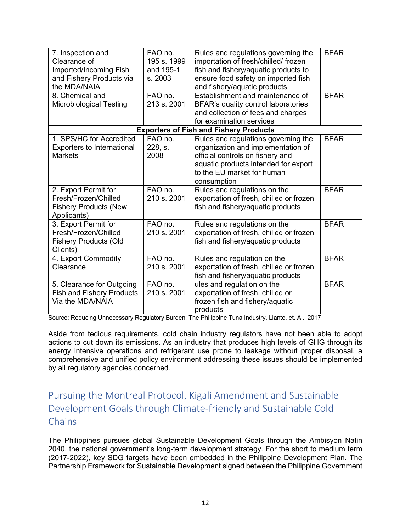| 7. Inspection and<br>Clearance of<br>Imported/Incoming Fish<br>and Fishery Products via<br>the MDA/NAIA<br>8. Chemical and<br><b>Microbiological Testing</b> | FAO no.<br>195 s. 1999<br>and 195-1<br>s. 2003<br>FAO no.<br>213 s. 2001 | Rules and regulations governing the<br>importation of fresh/chilled/frozen<br>fish and fishery/aquatic products to<br>ensure food safety on imported fish<br>and fishery/aquatic products<br>Establishment and maintenance of<br>BFAR's quality control laboratories<br>and collection of fees and charges<br>for examination services | <b>BFAR</b><br><b>BFAR</b> |
|--------------------------------------------------------------------------------------------------------------------------------------------------------------|--------------------------------------------------------------------------|----------------------------------------------------------------------------------------------------------------------------------------------------------------------------------------------------------------------------------------------------------------------------------------------------------------------------------------|----------------------------|
|                                                                                                                                                              |                                                                          | <b>Exporters of Fish and Fishery Products</b>                                                                                                                                                                                                                                                                                          |                            |
| 1. SPS/HC for Accredited<br>Exporters to International<br><b>Markets</b>                                                                                     | FAO no.<br>228, s.<br>2008                                               | Rules and regulations governing the<br>organization and implementation of<br>official controls on fishery and<br>aquatic products intended for export<br>to the EU market for human<br>consumption                                                                                                                                     | <b>BFAR</b>                |
| 2. Export Permit for<br>Fresh/Frozen/Chilled<br><b>Fishery Products (New</b><br>Applicants)                                                                  | FAO no.<br>210 s. 2001                                                   | Rules and regulations on the<br>exportation of fresh, chilled or frozen<br>fish and fishery/aquatic products                                                                                                                                                                                                                           | <b>BFAR</b>                |
| 3. Export Permit for<br>Fresh/Frozen/Chilled<br><b>Fishery Products (Old</b><br>Clients)                                                                     | FAO no.<br>210 s. 2001                                                   | Rules and regulations on the<br>exportation of fresh, chilled or frozen<br>fish and fishery/aquatic products                                                                                                                                                                                                                           | <b>BFAR</b>                |
| 4. Export Commodity<br>Clearance                                                                                                                             | FAO no.<br>210 s. 2001                                                   | Rules and regulation on the<br>exportation of fresh, chilled or frozen<br>fish and fishery/aquatic products                                                                                                                                                                                                                            | <b>BFAR</b>                |
| 5. Clearance for Outgoing<br><b>Fish and Fishery Products</b><br>Via the MDA/NAIA                                                                            | FAO no.<br>210 s. 2001                                                   | ules and regulation on the<br>exportation of fresh, chilled or<br>frozen fish and fishery/aquatic<br>products                                                                                                                                                                                                                          | <b>BFAR</b>                |

Source: Reducing Unnecessary Regulatory Burden: The Philippine Tuna Industry, Llanto, et. Al., 2017

Aside from tedious requirements, cold chain industry regulators have not been able to adopt actions to cut down its emissions. As an industry that produces high levels of GHG through its energy intensive operations and refrigerant use prone to leakage without proper disposal, a comprehensive and unified policy environment addressing these issues should be implemented by all regulatory agencies concerned.

# Pursuing the Montreal Protocol, Kigali Amendment and Sustainable Development Goals through Climate-friendly and Sustainable Cold **Chains**

The Philippines pursues global Sustainable Development Goals through the Ambisyon Natin 2040, the national government's long-term development strategy. For the short to medium term (2017-2022), key SDG targets have been embedded in the Philippine Development Plan. The Partnership Framework for Sustainable Development signed between the Philippine Government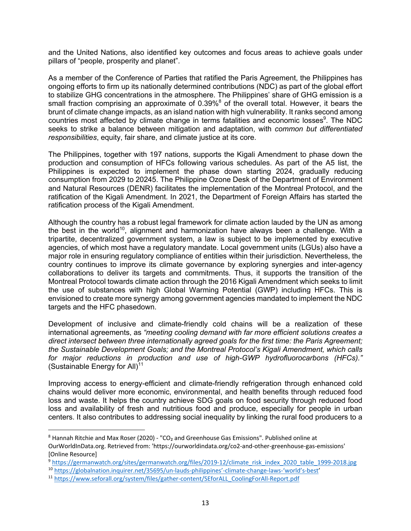and the United Nations, also identified key outcomes and focus areas to achieve goals under pillars of "people, prosperity and planet".

As a member of the Conference of Parties that ratified the Paris Agreement, the Philippines has ongoing efforts to firm up its nationally determined contributions (NDC) as part of the global effort to stabilize GHG concentrations in the atmosphere. The Philippines' share of GHG emission is a small fraction comprising an approximate of  $0.39\%$ <sup>8</sup> of the overall total. However, it bears the brunt of climate change impacts, as an island nation with high vulnerability. It ranks second among countries most affected by climate change in terms fatalities and economic losses<sup>9</sup>. The NDC seeks to strike a balance between mitigation and adaptation, with *common but differentiated responsibilities*, equity, fair share, and climate justice at its core.

The Philippines, together with 197 nations, supports the Kigali Amendment to phase down the production and consumption of HFCs following various schedules. As part of the A5 list, the Philippines is expected to implement the phase down starting 2024, gradually reducing consumption from 2029 to 20245. The Philippine Ozone Desk of the Department of Environment and Natural Resources (DENR) facilitates the implementation of the Montreal Protocol, and the ratification of the Kigali Amendment. In 2021, the Department of Foreign Affairs has started the ratification process of the Kigali Amendment.

Although the country has a robust legal framework for climate action lauded by the UN as among the best in the world<sup>10</sup>, alignment and harmonization have always been a challenge. With a tripartite, decentralized government system, a law is subject to be implemented by executive agencies, of which most have a regulatory mandate. Local government units (LGUs) also have a major role in ensuring regulatory compliance of entities within their jurisdiction. Nevertheless, the country continues to improve its climate governance by exploring synergies and inter-agency collaborations to deliver its targets and commitments. Thus, it supports the transition of the Montreal Protocol towards climate action through the 2016 Kigali Amendment which seeks to limit the use of substances with high Global Warming Potential (GWP) including HFCs. This is envisioned to create more synergy among government agencies mandated to implement the NDC targets and the HFC phasedown.

Development of inclusive and climate-friendly cold chains will be a realization of these international agreements, as *"meeting cooling demand with far more efficient solutions creates a direct intersect between three internationally agreed goals for the first time: the Paris Agreement; the Sustainable Development Goals; and the Montreal Protocol's Kigali Amendment, which calls for major reductions in production and use of high-GWP hydrofluorocarbons (HFCs)."* (Sustainable Energy for All) $11$ 

Improving access to energy-efficient and climate-friendly refrigeration through enhanced cold chains would deliver more economic, environmental, and health benefits through reduced food loss and waste. It helps the country achieve SDG goals on food security through reduced food loss and availability of fresh and nutritious food and produce, especially for people in urban centers. It also contributes to addressing social inequality by linking the rural food producers to a

<sup>&</sup>lt;sup>8</sup> Hannah Ritchie and Max Roser (2020) - "CO<sub>2</sub> and Greenhouse Gas Emissions". Published online at OurWorldInData.org. Retrieved from: 'https://ourworldindata.org/co2-and-other-greenhouse-gas-emissions' [Online Resource]

<sup>9</sup> https://germanwatch.org/sites/germanwatch.org/files/2019-12/climate\_risk\_index\_2020\_table\_1999-2018.jpg

<sup>10</sup> https://globalnation.inquirer.net/35695/un-lauds-philippines'-climate-change-laws-'world's-best'

<sup>11</sup> https://www.seforall.org/system/files/gather-content/SEforALL\_CoolingForAll-Report.pdf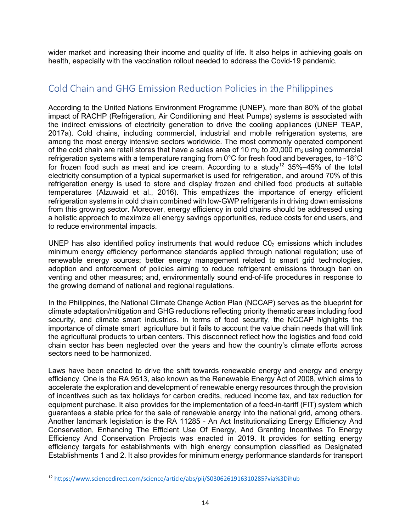wider market and increasing their income and quality of life. It also helps in achieving goals on health, especially with the vaccination rollout needed to address the Covid-19 pandemic.

### Cold Chain and GHG Emission Reduction Policies in the Philippines

According to the United Nations Environment Programme (UNEP), more than 80% of the global impact of RACHP (Refrigeration, Air Conditioning and Heat Pumps) systems is associated with the indirect emissions of electricity generation to drive the cooling appliances (UNEP TEAP, 2017a). Cold chains, including commercial, industrial and mobile refrigeration systems, are among the most energy intensive sectors worldwide. The most commonly operated component of the cold chain are retail stores that have a sales area of 10  $m_2$  to 20,000  $m_2$  using commercial refrigeration systems with a temperature ranging from 0°C for fresh food and beverages, to -18°C for frozen food such as meat and ice cream. According to a study<sup>12</sup> 35%–45% of the total electricity consumption of a typical supermarket is used for refrigeration, and around 70% of this refrigeration energy is used to store and display frozen and chilled food products at suitable temperatures (Alzuwaid et al., 2016). This empathizes the importance of energy efficient refrigeration systems in cold chain combined with low-GWP refrigerants in driving down emissions from this growing sector. Moreover, energy efficiency in cold chains should be addressed using a holistic approach to maximize all energy savings opportunities, reduce costs for end users, and to reduce environmental impacts.

UNEP has also identified policy instruments that would reduce  $CO<sub>2</sub>$  emissions which includes minimum energy efficiency performance standards applied through national regulation; use of renewable energy sources; better energy management related to smart grid technologies, adoption and enforcement of policies aiming to reduce refrigerant emissions through ban on venting and other measures; and, environmentally sound end-of-life procedures in response to the growing demand of national and regional regulations.

In the Philippines, the National Climate Change Action Plan (NCCAP) serves as the blueprint for climate adaptation/mitigation and GHG reductions reflecting priority thematic areas including food security, and climate smart industries. In terms of food security, the NCCAP highlights the importance of climate smart agriculture but it fails to account the value chain needs that will link the agricultural products to urban centers. This disconnect reflect how the logistics and food cold chain sector has been neglected over the years and how the country's climate efforts across sectors need to be harmonized.

Laws have been enacted to drive the shift towards renewable energy and energy and energy efficiency. One is the RA 9513, also known as the Renewable Energy Act of 2008, which aims to accelerate the exploration and development of renewable energy resources through the provision of incentives such as tax holidays for carbon credits, reduced income tax, and tax reduction for equipment purchase. It also provides for the implementation of a feed-in-tariff (FIT) system which guarantees a stable price for the sale of renewable energy into the national grid, among others. Another landmark legislation is the RA 11285 - An Act Institutionalizing Energy Efficiency And Conservation, Enhancing The Efficient Use Of Energy, And Granting Incentives To Energy Efficiency And Conservation Projects was enacted in 2019. It provides for setting energy efficiency targets for establishments with high energy consumption classified as Designated Establishments 1 and 2. It also provides for minimum energy performance standards for transport

<sup>12</sup> https://www.sciencedirect.com/science/article/abs/pii/S0306261916310285?via%3Dihub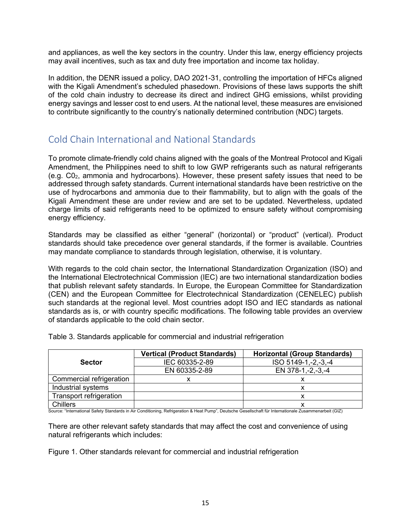and appliances, as well the key sectors in the country. Under this law, energy efficiency projects may avail incentives, such as tax and duty free importation and income tax holiday.

In addition, the DENR issued a policy, DAO 2021-31, controlling the importation of HFCs aligned with the Kigali Amendment's scheduled phasedown. Provisions of these laws supports the shift of the cold chain industry to decrease its direct and indirect GHG emissions, whilst providing energy savings and lesser cost to end users. At the national level, these measures are envisioned to contribute significantly to the country's nationally determined contribution (NDC) targets.

## Cold Chain International and National Standards

To promote climate-friendly cold chains aligned with the goals of the Montreal Protocol and Kigali Amendment, the Philippines need to shift to low GWP refrigerants such as natural refrigerants (e.g. C02, ammonia and hydrocarbons). However, these present safety issues that need to be addressed through safety standards. Current international standards have been restrictive on the use of hydrocarbons and ammonia due to their flammability, but to align with the goals of the Kigali Amendment these are under review and are set to be updated. Nevertheless, updated charge limits of said refrigerants need to be optimized to ensure safety without compromising energy efficiency.

Standards may be classified as either "general" (horizontal) or "product" (vertical). Product standards should take precedence over general standards, if the former is available. Countries may mandate compliance to standards through legislation, otherwise, it is voluntary.

With regards to the cold chain sector, the International Standardization Organization (ISO) and the International Electrotechnical Commission (IEC) are two international standardization bodies that publish relevant safety standards. In Europe, the European Committee for Standardization (CEN) and the European Committee for Electrotechnical Standardization (CENELEC) publish such standards at the regional level. Most countries adopt ISO and IEC standards as national standards as is, or with country specific modifications. The following table provides an overview of standards applicable to the cold chain sector.

|                          | <b>Vertical (Product Standards)</b> | <b>Horizontal (Group Standards)</b> |  |
|--------------------------|-------------------------------------|-------------------------------------|--|
| <b>Sector</b>            | IEC 60335-2-89                      | ISO 5149-1,-2,-3,-4                 |  |
|                          | EN 60335-2-89                       | EN 378-1,-2,-3,-4                   |  |
| Commercial refrigeration |                                     |                                     |  |
| Industrial systems       |                                     |                                     |  |
| Transport refrigeration  |                                     |                                     |  |
| Chillers                 |                                     |                                     |  |

Table 3. Standards applicable for commercial and industrial refrigeration

│ Chillers<br>Source: "International Safety Standards in Air Conditioning, Refrigeration & Heat Pump", Deutsche Gesellschaft für Internationale Zusammenarbeit (GIZ)

There are other relevant safety standards that may affect the cost and convenience of using natural refrigerants which includes:

Figure 1. Other standards relevant for commercial and industrial refrigeration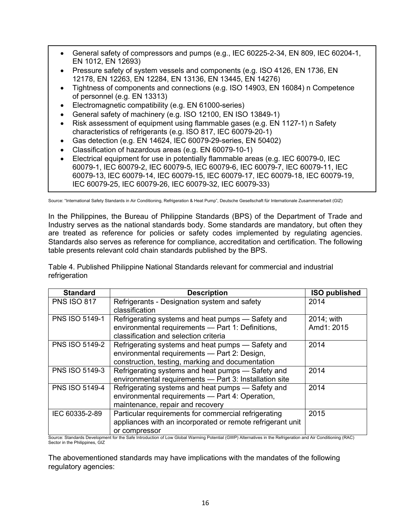- General safety of compressors and pumps (e.g., IEC 60225-2-34, EN 809, IEC 60204-1, EN 1012, EN 12693)
- Pressure safety of system vessels and components (e.g. ISO 4126, EN 1736, EN 12178, EN 12263, EN 12284, EN 13136, EN 13445, EN 14276)
- Tightness of components and connections (e.g. ISO 14903, EN 16084) n Competence of personnel (e.g. EN 13313)
- Electromagnetic compatibility (e.g. EN 61000-series)
- General safety of machinery (e.g. ISO 12100, EN ISO 13849-1)
- Risk assessment of equipment using flammable gases (e.g. EN 1127-1) n Safety characteristics of refrigerants (e.g. ISO 817, IEC 60079-20-1)
- Gas detection (e.g. EN 14624, IEC 60079-29-series, EN 50402)
- Classification of hazardous areas (e.g. EN 60079-10-1)
- Electrical equipment for use in potentially flammable areas (e.g. IEC 60079-0, IEC 60079-1, IEC 60079-2, IEC 60079-5, IEC 60079-6, IEC 60079-7, IEC 60079-11, IEC 60079-13, IEC 60079-14, IEC 60079-15, IEC 60079-17, IEC 60079-18, IEC 60079-19, IEC 60079-25, IEC 60079-26, IEC 60079-32, IEC 60079-33)

Source: "International Safety Standards in Air Conditioning, Refrigeration & Heat Pump", Deutsche Gesellschaft für Internationale Zusammenarbeit (GIZ)

In the Philippines, the Bureau of Philippine Standards (BPS) of the Department of Trade and Industry serves as the national standards body. Some standards are mandatory, but often they are treated as reference for policies or safety codes implemented by regulating agencies. Standards also serves as reference for compliance, accreditation and certification. The following table presents relevant cold chain standards published by the BPS.

Table 4. Published Philippine National Standards relevant for commercial and industrial refrigeration

| <b>Standard</b>       | <b>Description</b>                                         | <b>ISO published</b> |
|-----------------------|------------------------------------------------------------|----------------------|
| <b>PNS ISO 817</b>    | Refrigerants - Designation system and safety               | 2014                 |
|                       | classification                                             |                      |
| <b>PNS ISO 5149-1</b> | Refrigerating systems and heat pumps — Safety and          | 2014; with           |
|                       | environmental requirements - Part 1: Definitions,          | Amd1: 2015           |
|                       | classification and selection criteria                      |                      |
| <b>PNS ISO 5149-2</b> | Refrigerating systems and heat pumps – Safety and          | 2014                 |
|                       | environmental requirements - Part 2: Design,               |                      |
|                       | construction, testing, marking and documentation           |                      |
| <b>PNS ISO 5149-3</b> | Refrigerating systems and heat pumps - Safety and          | 2014                 |
|                       | environmental requirements - Part 3: Installation site     |                      |
| <b>PNS ISO 5149-4</b> | Refrigerating systems and heat pumps – Safety and          | 2014                 |
|                       | environmental requirements - Part 4: Operation,            |                      |
|                       | maintenance, repair and recovery                           |                      |
| IEC 60335-2-89        | Particular requirements for commercial refrigerating       | 2015                 |
|                       | appliances with an incorporated or remote refrigerant unit |                      |
|                       | or compressor                                              |                      |

Source: Standards Development for the Safe Introduction of Low Global Warming Potential (GWP) Alternatives in the Refrigeration and Air Conditioning (RAC) Sector in the Philippines, GIZ

The abovementioned standards may have implications with the mandates of the following regulatory agencies: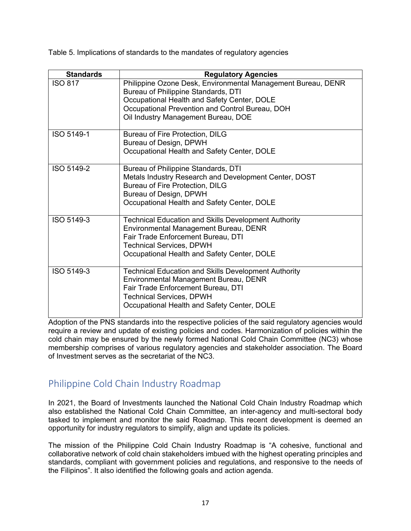Table 5. Implications of standards to the mandates of regulatory agencies

| <b>Standards</b> | <b>Regulatory Agencies</b>                                                                          |
|------------------|-----------------------------------------------------------------------------------------------------|
| <b>ISO 817</b>   | Philippine Ozone Desk, Environmental Management Bureau, DENR<br>Bureau of Philippine Standards, DTI |
|                  | Occupational Health and Safety Center, DOLE                                                         |
|                  | Occupational Prevention and Control Bureau, DOH                                                     |
|                  | Oil Industry Management Bureau, DOE                                                                 |
| ISO 5149-1       | Bureau of Fire Protection, DILG                                                                     |
|                  | Bureau of Design, DPWH                                                                              |
|                  | Occupational Health and Safety Center, DOLE                                                         |
| ISO 5149-2       | Bureau of Philippine Standards, DTI                                                                 |
|                  | Metals Industry Research and Development Center, DOST                                               |
|                  | <b>Bureau of Fire Protection, DILG</b>                                                              |
|                  | Bureau of Design, DPWH                                                                              |
|                  | Occupational Health and Safety Center, DOLE                                                         |
| ISO 5149-3       | <b>Technical Education and Skills Development Authority</b>                                         |
|                  | Environmental Management Bureau, DENR                                                               |
|                  | Fair Trade Enforcement Bureau, DTI                                                                  |
|                  | <b>Technical Services, DPWH</b>                                                                     |
|                  | Occupational Health and Safety Center, DOLE                                                         |
| ISO 5149-3       | <b>Technical Education and Skills Development Authority</b>                                         |
|                  | Environmental Management Bureau, DENR                                                               |
|                  | Fair Trade Enforcement Bureau, DTI                                                                  |
|                  | <b>Technical Services, DPWH</b>                                                                     |
|                  | Occupational Health and Safety Center, DOLE                                                         |

Adoption of the PNS standards into the respective policies of the said regulatory agencies would require a review and update of existing policies and codes. Harmonization of policies within the cold chain may be ensured by the newly formed National Cold Chain Committee (NC3) whose membership comprises of various regulatory agencies and stakeholder association. The Board of Investment serves as the secretariat of the NC3.

## Philippine Cold Chain Industry Roadmap

In 2021, the Board of Investments launched the National Cold Chain Industry Roadmap which also established the National Cold Chain Committee, an inter-agency and multi-sectoral body tasked to implement and monitor the said Roadmap. This recent development is deemed an opportunity for industry regulators to simplify, align and update its policies.

The mission of the Philippine Cold Chain Industry Roadmap is "A cohesive, functional and collaborative network of cold chain stakeholders imbued with the highest operating principles and standards, compliant with government policies and regulations, and responsive to the needs of the Filipinos". It also identified the following goals and action agenda.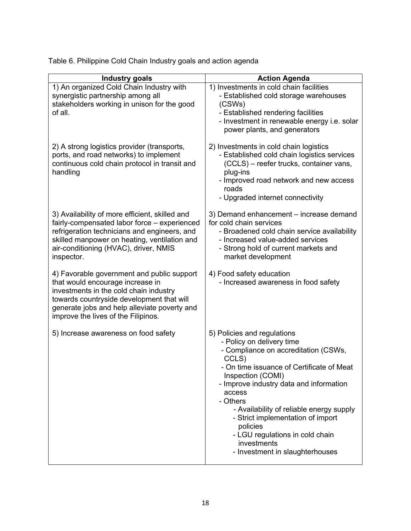| <b>Industry goals</b>                                                                                                                                                                                                                                        | <b>Action Agenda</b>                                                                                                                                                                                                                                                                                                                                                                                                           |
|--------------------------------------------------------------------------------------------------------------------------------------------------------------------------------------------------------------------------------------------------------------|--------------------------------------------------------------------------------------------------------------------------------------------------------------------------------------------------------------------------------------------------------------------------------------------------------------------------------------------------------------------------------------------------------------------------------|
| 1) An organized Cold Chain Industry with<br>synergistic partnership among all<br>stakeholders working in unison for the good<br>of all.                                                                                                                      | 1) Investments in cold chain facilities<br>- Established cold storage warehouses<br>(CSWs)<br>- Established rendering facilities<br>- Investment in renewable energy i.e. solar<br>power plants, and generators                                                                                                                                                                                                                |
| 2) A strong logistics provider (transports,<br>ports, and road networks) to implement<br>continuous cold chain protocol in transit and<br>handling                                                                                                           | 2) Investments in cold chain logistics<br>- Established cold chain logistics services<br>(CCLS) - reefer trucks, container vans,<br>plug-ins<br>- Improved road network and new access<br>roads<br>- Upgraded internet connectivity                                                                                                                                                                                            |
| 3) Availability of more efficient, skilled and<br>fairly-compensated labor force - experienced<br>refrigeration technicians and engineers, and<br>skilled manpower on heating, ventilation and<br>air-conditioning (HVAC), driver, NMIS<br>inspector.        | 3) Demand enhancement - increase demand<br>for cold chain services<br>- Broadened cold chain service availability<br>- Increased value-added services<br>- Strong hold of current markets and<br>market development                                                                                                                                                                                                            |
| 4) Favorable government and public support<br>that would encourage increase in<br>investments in the cold chain industry<br>towards countryside development that will<br>generate jobs and help alleviate poverty and<br>improve the lives of the Filipinos. | 4) Food safety education<br>- Increased awareness in food safety                                                                                                                                                                                                                                                                                                                                                               |
| 5) Increase awareness on food safety                                                                                                                                                                                                                         | 5) Policies and regulations<br>- Policy on delivery time<br>- Compliance on accreditation (CSWs,<br>CCLS)<br>- On time issuance of Certificate of Meat<br>Inspection (COMI)<br>- Improve industry data and information<br>access<br>- Others<br>- Availability of reliable energy supply<br>- Strict implementation of import<br>policies<br>- LGU regulations in cold chain<br>investments<br>- Investment in slaughterhouses |

Table 6. Philippine Cold Chain Industry goals and action agenda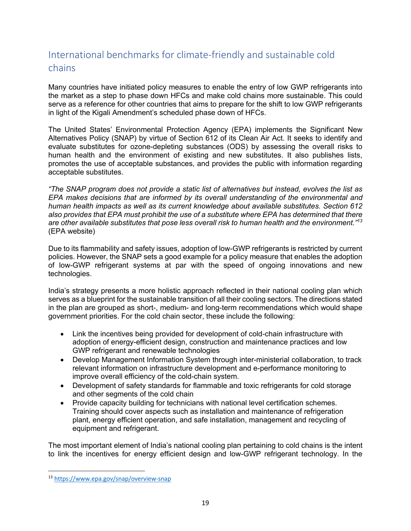# International benchmarks for climate-friendly and sustainable cold chains

Many countries have initiated policy measures to enable the entry of low GWP refrigerants into the market as a step to phase down HFCs and make cold chains more sustainable. This could serve as a reference for other countries that aims to prepare for the shift to low GWP refrigerants in light of the Kigali Amendment's scheduled phase down of HFCs.

The United States' Environmental Protection Agency (EPA) implements the Significant New Alternatives Policy (SNAP) by virtue of Section 612 of its Clean Air Act. It seeks to identify and evaluate substitutes for ozone-depleting substances (ODS) by assessing the overall risks to human health and the environment of existing and new substitutes. It also publishes lists, promotes the use of acceptable substances, and provides the public with information regarding acceptable substitutes.

*"The SNAP program does not provide a static list of alternatives but instead, evolves the list as EPA makes decisions that are informed by its overall understanding of the environmental and human health impacts as well as its current knowledge about available substitutes. Section 612 also provides that EPA must prohibit the use of a substitute where EPA has determined that there are other available substitutes that pose less overall risk to human health and the environment." 13* (EPA website)

Due to its flammability and safety issues, adoption of low-GWP refrigerants is restricted by current policies. However, the SNAP sets a good example for a policy measure that enables the adoption of low-GWP refrigerant systems at par with the speed of ongoing innovations and new technologies.

India's strategy presents a more holistic approach reflected in their national cooling plan which serves as a blueprint for the sustainable transition of all their cooling sectors. The directions stated in the plan are grouped as short-, medium- and long-term recommendations which would shape government priorities. For the cold chain sector, these include the following:

- Link the incentives being provided for development of cold-chain infrastructure with adoption of energy-efficient design, construction and maintenance practices and low GWP refrigerant and renewable technologies
- Develop Management Information System through inter-ministerial collaboration, to track relevant information on infrastructure development and e-performance monitoring to improve overall efficiency of the cold-chain system.
- Development of safety standards for flammable and toxic refrigerants for cold storage and other segments of the cold chain
- Provide capacity building for technicians with national level certification schemes. Training should cover aspects such as installation and maintenance of refrigeration plant, energy efficient operation, and safe installation, management and recycling of equipment and refrigerant.

The most important element of India's national cooling plan pertaining to cold chains is the intent to link the incentives for energy efficient design and low-GWP refrigerant technology. In the

<sup>13</sup> https://www.epa.gov/snap/overview-snap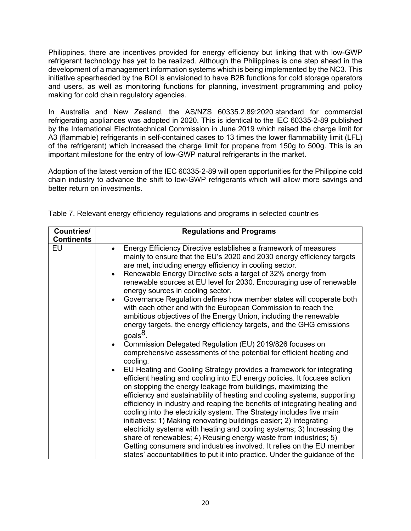Philippines, there are incentives provided for energy efficiency but linking that with low-GWP refrigerant technology has yet to be realized. Although the Philippines is one step ahead in the development of a management information systems which is being implemented by the NC3. This initiative spearheaded by the BOI is envisioned to have B2B functions for cold storage operators and users, as well as monitoring functions for planning, investment programming and policy making for cold chain regulatory agencies.

In Australia and New Zealand, the AS/NZS 60335.2.89:2020 standard for commercial refrigerating appliances was adopted in 2020. This is identical to the IEC 60335-2-89 published by the International Electrotechnical Commission in June 2019 which raised the charge limit for A3 (flammable) refrigerants in self-contained cases to 13 times the lower flammability limit (LFL) of the refrigerant) which increased the charge limit for propane from 150g to 500g. This is an important milestone for the entry of low-GWP natural refrigerants in the market.

Adoption of the latest version of the IEC 60335-2-89 will open opportunities for the Philippine cold chain industry to advance the shift to low-GWP refrigerants which will allow more savings and better return on investments.

| <b>Countries/</b> | <b>Regulations and Programs</b>                                                                                                                                                                                                                                                                                                                                                                                                                                                                                                                                                                                                                                                                                                                                                                                                                                                                                                                                                                                                                                                                                                                                                                                                                                                                                                                                                                                                                                                                                                                                                                                                                        |
|-------------------|--------------------------------------------------------------------------------------------------------------------------------------------------------------------------------------------------------------------------------------------------------------------------------------------------------------------------------------------------------------------------------------------------------------------------------------------------------------------------------------------------------------------------------------------------------------------------------------------------------------------------------------------------------------------------------------------------------------------------------------------------------------------------------------------------------------------------------------------------------------------------------------------------------------------------------------------------------------------------------------------------------------------------------------------------------------------------------------------------------------------------------------------------------------------------------------------------------------------------------------------------------------------------------------------------------------------------------------------------------------------------------------------------------------------------------------------------------------------------------------------------------------------------------------------------------------------------------------------------------------------------------------------------------|
| <b>Continents</b> |                                                                                                                                                                                                                                                                                                                                                                                                                                                                                                                                                                                                                                                                                                                                                                                                                                                                                                                                                                                                                                                                                                                                                                                                                                                                                                                                                                                                                                                                                                                                                                                                                                                        |
| EU                | Energy Efficiency Directive establishes a framework of measures<br>mainly to ensure that the EU's 2020 and 2030 energy efficiency targets<br>are met, including energy efficiency in cooling sector.<br>Renewable Energy Directive sets a target of 32% energy from<br>$\bullet$<br>renewable sources at EU level for 2030. Encouraging use of renewable<br>energy sources in cooling sector.<br>Governance Regulation defines how member states will cooperate both<br>$\bullet$<br>with each other and with the European Commission to reach the<br>ambitious objectives of the Energy Union, including the renewable<br>energy targets, the energy efficiency targets, and the GHG emissions<br>goals <sup>8</sup> .<br>Commission Delegated Regulation (EU) 2019/826 focuses on<br>$\bullet$<br>comprehensive assessments of the potential for efficient heating and<br>cooling.<br>EU Heating and Cooling Strategy provides a framework for integrating<br>$\bullet$<br>efficient heating and cooling into EU energy policies. It focuses action<br>on stopping the energy leakage from buildings, maximizing the<br>efficiency and sustainability of heating and cooling systems, supporting<br>efficiency in industry and reaping the benefits of integrating heating and<br>cooling into the electricity system. The Strategy includes five main<br>initiatives: 1) Making renovating buildings easier; 2) Integrating<br>electricity systems with heating and cooling systems; 3) Increasing the<br>share of renewables; 4) Reusing energy waste from industries; 5)<br>Getting consumers and industries involved. It relies on the EU member |
|                   | states' accountabilities to put it into practice. Under the guidance of the                                                                                                                                                                                                                                                                                                                                                                                                                                                                                                                                                                                                                                                                                                                                                                                                                                                                                                                                                                                                                                                                                                                                                                                                                                                                                                                                                                                                                                                                                                                                                                            |

Table 7. Relevant energy efficiency regulations and programs in selected countries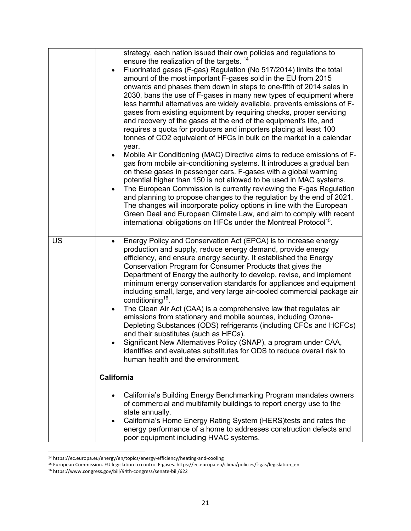|    | strategy, each nation issued their own policies and regulations to<br>ensure the realization of the targets. <sup>14</sup> |
|----|----------------------------------------------------------------------------------------------------------------------------|
|    | Fluorinated gases (F-gas) Regulation (No 517/2014) limits the total                                                        |
|    | amount of the most important F-gases sold in the EU from 2015                                                              |
|    | onwards and phases them down in steps to one-fifth of 2014 sales in                                                        |
|    | 2030, bans the use of F-gases in many new types of equipment where                                                         |
|    | less harmful alternatives are widely available, prevents emissions of F-                                                   |
|    | gases from existing equipment by requiring checks, proper servicing                                                        |
|    | and recovery of the gases at the end of the equipment's life, and                                                          |
|    | requires a quota for producers and importers placing at least 100                                                          |
|    | tonnes of CO2 equivalent of HFCs in bulk on the market in a calendar                                                       |
|    | year.<br>Mobile Air Conditioning (MAC) Directive aims to reduce emissions of F-                                            |
|    | gas from mobile air-conditioning systems. It introduces a gradual ban                                                      |
|    | on these gases in passenger cars. F-gases with a global warming                                                            |
|    | potential higher than 150 is not allowed to be used in MAC systems.                                                        |
|    | The European Commission is currently reviewing the F-gas Regulation                                                        |
|    | and planning to propose changes to the regulation by the end of 2021.                                                      |
|    | The changes will incorporate policy options in line with the European                                                      |
|    | Green Deal and European Climate Law, and aim to comply with recent                                                         |
|    | international obligations on HFCs under the Montreal Protocol <sup>15</sup> .                                              |
|    |                                                                                                                            |
| US | Energy Policy and Conservation Act (EPCA) is to increase energy<br>$\bullet$                                               |
|    | production and supply, reduce energy demand, provide energy                                                                |
|    | efficiency, and ensure energy security. It established the Energy                                                          |
|    | Conservation Program for Consumer Products that gives the                                                                  |
|    | Department of Energy the authority to develop, revise, and implement                                                       |
|    | minimum energy conservation standards for appliances and equipment                                                         |
|    | including small, large, and very large air-cooled commercial package air<br>conditioning <sup>16</sup> .                   |
|    | The Clean Air Act (CAA) is a comprehensive law that regulates air<br>$\bullet$                                             |
|    | emissions from stationary and mobile sources, including Ozone-                                                             |
|    | Depleting Substances (ODS) refrigerants (including CFCs and HCFCs)                                                         |
|    | and their substitutes (such as HFCs).                                                                                      |
|    | Significant New Alternatives Policy (SNAP), a program under CAA,                                                           |
|    | identifies and evaluates substitutes for ODS to reduce overall risk to                                                     |
|    | human health and the environment.                                                                                          |
|    |                                                                                                                            |
|    | <b>California</b>                                                                                                          |
|    | California's Building Energy Benchmarking Program mandates owners<br>$\bullet$                                             |
|    | of commercial and multifamily buildings to report energy use to the                                                        |
|    | state annually.                                                                                                            |
|    | California's Home Energy Rating System (HERS)tests and rates the                                                           |
|    | energy performance of a home to addresses construction defects and                                                         |
|    | poor equipment including HVAC systems.                                                                                     |

<sup>&</sup>lt;sup>14</sup> https://ec.europa.eu/energy/en/topics/energy-efficiency/heating-and-cooling

<sup>15</sup> European Commission. EU legislation to control F-gases. https://ec.europa.eu/clima/policies/f-gas/legislation\_en

<sup>16</sup> https://www.congress.gov/bill/94th-congress/senate-bill/622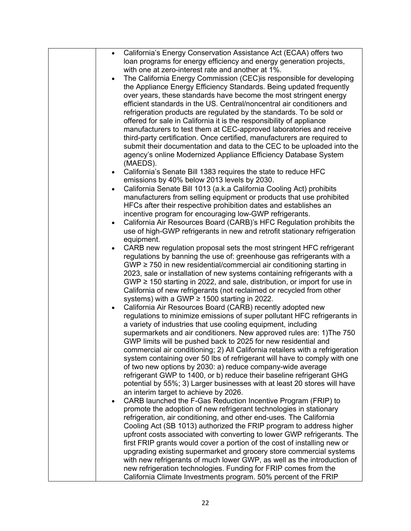| California's Energy Conservation Assistance Act (ECAA) offers two<br>$\bullet$    |
|-----------------------------------------------------------------------------------|
| loan programs for energy efficiency and energy generation projects,               |
| with one at zero-interest rate and another at 1%.                                 |
| The California Energy Commission (CEC) is responsible for developing<br>$\bullet$ |
| the Appliance Energy Efficiency Standards. Being updated frequently               |
| over years, these standards have become the most stringent energy                 |
| efficient standards in the US. Central/noncentral air conditioners and            |
| refrigeration products are regulated by the standards. To be sold or              |
| offered for sale in California it is the responsibility of appliance              |
| manufacturers to test them at CEC-approved laboratories and receive               |
| third-party certification. Once certified, manufacturers are required to          |
| submit their documentation and data to the CEC to be uploaded into the            |
| agency's online Modernized Appliance Efficiency Database System                   |
| (MAEDS).                                                                          |
| California's Senate Bill 1383 requires the state to reduce HFC<br>$\bullet$       |
| emissions by 40% below 2013 levels by 2030.                                       |
| California Senate Bill 1013 (a.k.a California Cooling Act) prohibits<br>$\bullet$ |
| manufacturers from selling equipment or products that use prohibited              |
| HFCs after their respective prohibition dates and establishes an                  |
| incentive program for encouraging low-GWP refrigerants.                           |
| California Air Resources Board (CARB)'s HFC Regulation prohibits the<br>$\bullet$ |
| use of high-GWP refrigerants in new and retrofit stationary refrigeration         |
| equipment.                                                                        |
| CARB new regulation proposal sets the most stringent HFC refrigerant<br>$\bullet$ |
| regulations by banning the use of: greenhouse gas refrigerants with a             |
| $GWP \ge 750$ in new residential/commercial air conditioning starting in          |
| 2023, sale or installation of new systems containing refrigerants with a          |
| GWP $\geq$ 150 starting in 2022, and sale, distribution, or import for use in     |
| California of new refrigerants (not reclaimed or recycled from other              |
| systems) with a GWP $\geq$ 1500 starting in 2022.                                 |
| California Air Resources Board (CARB) recently adopted new<br>$\bullet$           |
| regulations to minimize emissions of super pollutant HFC refrigerants in          |
| a variety of industries that use cooling equipment, including                     |
| supermarkets and air conditioners. New approved rules are: 1) The 750             |
| GWP limits will be pushed back to 2025 for new residential and                    |
| commercial air conditioning; 2) All California retailers with a refrigeration     |
| system containing over 50 lbs of refrigerant will have to comply with one         |
| of two new options by 2030: a) reduce company-wide average                        |
| refrigerant GWP to 1400, or b) reduce their baseline refrigerant GHG              |
| potential by 55%; 3) Larger businesses with at least 20 stores will have          |
| an interim target to achieve by 2026.                                             |
| CARB launched the F-Gas Reduction Incentive Program (FRIP) to<br>$\bullet$        |
| promote the adoption of new refrigerant technologies in stationary                |
| refrigeration, air conditioning, and other end-uses. The California               |
| Cooling Act (SB 1013) authorized the FRIP program to address higher               |
| upfront costs associated with converting to lower GWP refrigerants. The           |
| first FRIP grants would cover a portion of the cost of installing new or          |
| upgrading existing supermarket and grocery store commercial systems               |
| with new refrigerants of much lower GWP, as well as the introduction of           |
| new refrigeration technologies. Funding for FRIP comes from the                   |
| California Climate Investments program. 50% percent of the FRIP                   |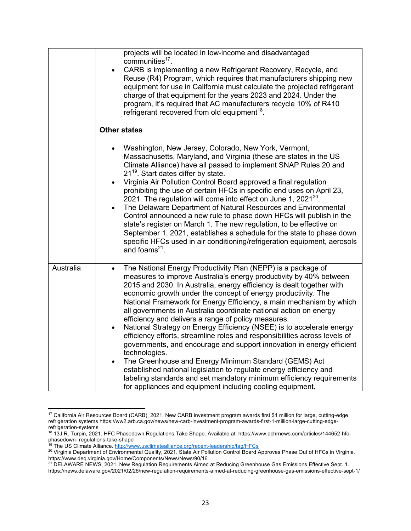|           | projects will be located in low-income and disadvantaged<br>communities <sup>17</sup> .<br>CARB is implementing a new Refrigerant Recovery, Recycle, and<br>$\bullet$<br>Reuse (R4) Program, which requires that manufacturers shipping new<br>equipment for use in California must calculate the projected refrigerant<br>charge of that equipment for the years 2023 and 2024. Under the<br>program, it's required that AC manufacturers recycle 10% of R410<br>refrigerant recovered from old equipment <sup>18</sup> .                                                                                                                                                                                                                                                                                                                                                                                                                                                                                                                  |
|-----------|---------------------------------------------------------------------------------------------------------------------------------------------------------------------------------------------------------------------------------------------------------------------------------------------------------------------------------------------------------------------------------------------------------------------------------------------------------------------------------------------------------------------------------------------------------------------------------------------------------------------------------------------------------------------------------------------------------------------------------------------------------------------------------------------------------------------------------------------------------------------------------------------------------------------------------------------------------------------------------------------------------------------------------------------|
|           | <b>Other states</b>                                                                                                                                                                                                                                                                                                                                                                                                                                                                                                                                                                                                                                                                                                                                                                                                                                                                                                                                                                                                                         |
|           | Washington, New Jersey, Colorado, New York, Vermont,<br>Massachusetts, Maryland, and Virginia (these are states in the US<br>Climate Alliance) have all passed to implement SNAP Rules 20 and<br>21 <sup>19</sup> . Start dates differ by state.<br>Virginia Air Pollution Control Board approved a final regulation<br>$\bullet$<br>prohibiting the use of certain HFCs in specific end uses on April 23,<br>2021. The regulation will come into effect on June 1, 2021 $^{20}$ .<br>The Delaware Department of Natural Resources and Environmental<br>Control announced a new rule to phase down HFCs will publish in the<br>state's register on March 1. The new regulation, to be effective on<br>September 1, 2021, establishes a schedule for the state to phase down<br>specific HFCs used in air conditioning/refrigeration equipment, aerosols<br>and foams $21$ .                                                                                                                                                                 |
| Australia | The National Energy Productivity Plan (NEPP) is a package of<br>$\bullet$<br>measures to improve Australia's energy productivity by 40% between<br>2015 and 2030. In Australia, energy efficiency is dealt together with<br>economic growth under the concept of energy productivity. The<br>National Framework for Energy Efficiency, a main mechanism by which<br>all governments in Australia coordinate national action on energy<br>efficiency and delivers a range of policy measures.<br>National Strategy on Energy Efficiency (NSEE) is to accelerate energy<br>$\bullet$<br>efficiency efforts, streamline roles and responsibilities across levels of<br>governments, and encourage and support innovation in energy efficient<br>technologies.<br>The Greenhouse and Energy Minimum Standard (GEMS) Act<br>$\bullet$<br>established national legislation to regulate energy efficiency and<br>labeling standards and set mandatory minimum efficiency requirements<br>for appliances and equipment including cooling equipment. |

<sup>17</sup> California Air Resources Board (CARB), 2021. New CARB investment program awards first \$1 million for large, cutting-edge refrigeration systems https://ww2.arb.ca.gov/news/new-carb-investment-program-awards-first-1-million-large-cutting-edgerefrigeration-systems

<sup>18</sup> 13J.R. Turpin, 2021. HFC Phasedown Regulations Take Shape. Available at: https://www.achrnews.com/articles/144652-hfcphasedown- regulations-take-shape

<sup>&</sup>lt;sup>19</sup> The US Climate Alliance. http://www.usclimatealliance.org/recent-leadership/tag/HFCs

<sup>20</sup> Virginia Department of Environmental Quality, 2021. State Air Pollution Control Board Approves Phase Out of HFCs in Virginia. https://www.deq.virginia.gov/Home/Components/News/News/90/16

<sup>&</sup>lt;sup>21</sup> DELAWARE NEWS, 2021. New Regulation Requirements Aimed at Reducing Greenhouse Gas Emissions Effective Sept. 1. https://news.delaware.gov/2021/02/26/new-regulation-requirements-aimed-at-reducing-greenhouse-gas-emissions-effective-sept-1/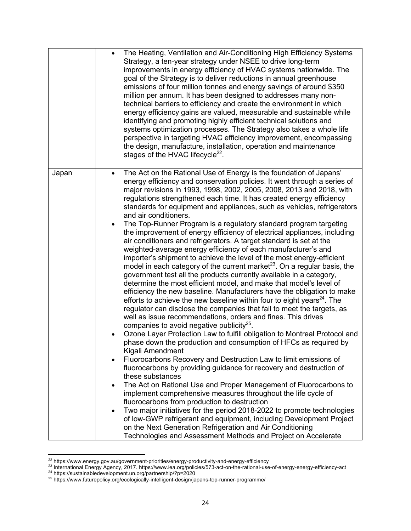|       | The Heating, Ventilation and Air-Conditioning High Efficiency Systems<br>$\bullet$<br>Strategy, a ten-year strategy under NSEE to drive long-term<br>improvements in energy efficiency of HVAC systems nationwide. The<br>goal of the Strategy is to deliver reductions in annual greenhouse<br>emissions of four million tonnes and energy savings of around \$350<br>million per annum. It has been designed to addresses many non-<br>technical barriers to efficiency and create the environment in which<br>energy efficiency gains are valued, measurable and sustainable while<br>identifying and promoting highly efficient technical solutions and<br>systems optimization processes. The Strategy also takes a whole life<br>perspective in targeting HVAC efficiency improvement, encompassing<br>the design, manufacture, installation, operation and maintenance<br>stages of the HVAC lifecycle <sup>22</sup> .                                                                                                                                                                                                                                                                                                                                                                                                                                                                                                                                                                                                                                                                                                                                                                                                                                                                                                                                                                                                                                                                                                                                                                                                                                                                                                                          |
|-------|--------------------------------------------------------------------------------------------------------------------------------------------------------------------------------------------------------------------------------------------------------------------------------------------------------------------------------------------------------------------------------------------------------------------------------------------------------------------------------------------------------------------------------------------------------------------------------------------------------------------------------------------------------------------------------------------------------------------------------------------------------------------------------------------------------------------------------------------------------------------------------------------------------------------------------------------------------------------------------------------------------------------------------------------------------------------------------------------------------------------------------------------------------------------------------------------------------------------------------------------------------------------------------------------------------------------------------------------------------------------------------------------------------------------------------------------------------------------------------------------------------------------------------------------------------------------------------------------------------------------------------------------------------------------------------------------------------------------------------------------------------------------------------------------------------------------------------------------------------------------------------------------------------------------------------------------------------------------------------------------------------------------------------------------------------------------------------------------------------------------------------------------------------------------------------------------------------------------------------------------------------|
| Japan | The Act on the Rational Use of Energy is the foundation of Japans'<br>$\bullet$<br>energy efficiency and conservation policies. It went through a series of<br>major revisions in 1993, 1998, 2002, 2005, 2008, 2013 and 2018, with<br>regulations strengthened each time. It has created energy efficiency<br>standards for equipment and appliances, such as vehicles, refrigerators<br>and air conditioners.<br>The Top-Runner Program is a regulatory standard program targeting<br>$\bullet$<br>the improvement of energy efficiency of electrical appliances, including<br>air conditioners and refrigerators. A target standard is set at the<br>weighted-average energy efficiency of each manufacturer's and<br>importer's shipment to achieve the level of the most energy-efficient<br>model in each category of the current market <sup>23</sup> . On a regular basis, the<br>government test all the products currently available in a category,<br>determine the most efficient model, and make that model's level of<br>efficiency the new baseline. Manufacturers have the obligation to make<br>efforts to achieve the new baseline within four to eight years <sup>24</sup> . The<br>regulator can disclose the companies that fail to meet the targets, as<br>well as issue recommendations, orders and fines. This drives<br>companies to avoid negative publicity <sup>25</sup> .<br>Ozone Layer Protection Law to fulfill obligation to Montreal Protocol and<br>phase down the production and consumption of HFCs as required by<br>Kigali Amendment<br>Fluorocarbons Recovery and Destruction Law to limit emissions of<br>$\bullet$<br>fluorocarbons by providing guidance for recovery and destruction of<br>these substances<br>The Act on Rational Use and Proper Management of Fluorocarbons to<br>$\bullet$<br>implement comprehensive measures throughout the life cycle of<br>fluorocarbons from production to destruction<br>Two major initiatives for the period 2018-2022 to promote technologies<br>$\bullet$<br>of low-GWP refrigerant and equipment, including Development Project<br>on the Next Generation Refrigeration and Air Conditioning<br>Technologies and Assessment Methods and Project on Accelerate |

 $22$  https://www.energy.gov.au/government-priorities/energy-productivity-and-energy-efficiency

 $^{23}$  International Energy Agency, 2017. https://www.iea.org/policies/573-act-on-the-rational-use-of-energy-energy-efficiency-act <sup>24</sup> https://sustainabledevelopment.un.org/partnership/?p=2020

<sup>&</sup>lt;sup>25</sup> https://www.futurepolicy.org/ecologically-intelligent-design/japans-top-runner-programme/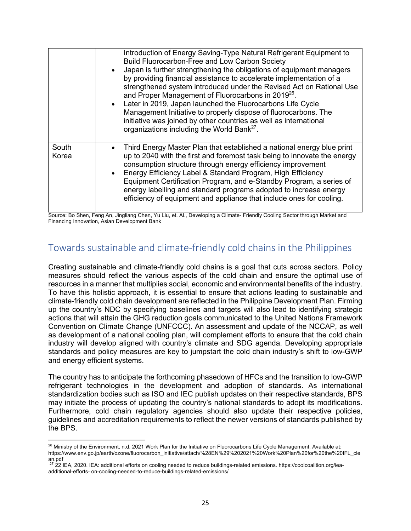|                | Introduction of Energy Saving-Type Natural Refrigerant Equipment to<br>Build Fluorocarbon-Free and Low Carbon Society<br>Japan is further strengthening the obligations of equipment managers<br>$\bullet$<br>by providing financial assistance to accelerate implementation of a<br>strengthened system introduced under the Revised Act on Rational Use<br>and Proper Management of Fluorocarbons in 2019 <sup>26</sup> .<br>• Later in 2019, Japan launched the Fluorocarbons Life Cycle<br>Management Initiative to properly dispose of fluorocarbons. The<br>initiative was joined by other countries as well as international<br>organizations including the World Bank <sup>27</sup> . |
|----------------|-----------------------------------------------------------------------------------------------------------------------------------------------------------------------------------------------------------------------------------------------------------------------------------------------------------------------------------------------------------------------------------------------------------------------------------------------------------------------------------------------------------------------------------------------------------------------------------------------------------------------------------------------------------------------------------------------|
| South<br>Korea | Third Energy Master Plan that established a national energy blue print<br>٠<br>up to 2040 with the first and foremost task being to innovate the energy<br>consumption structure through energy efficiency improvement<br>Energy Efficiency Label & Standard Program, High Efficiency<br>$\bullet$<br>Equipment Certification Program, and e-Standby Program, a series of<br>energy labelling and standard programs adopted to increase energy<br>efficiency of equipment and appliance that include ones for cooling.                                                                                                                                                                        |

Source: Bo Shen, Feng An, Jingliang Chen, Yu Liu, et. Al., Developing a Climate- Friendly Cooling Sector through Market and Financing Innovation, Asian Development Bank

## Towards sustainable and climate-friendly cold chains in the Philippines

Creating sustainable and climate-friendly cold chains is a goal that cuts across sectors. Policy measures should reflect the various aspects of the cold chain and ensure the optimal use of resources in a manner that multiplies social, economic and environmental benefits of the industry. To have this holistic approach, it is essential to ensure that actions leading to sustainable and climate-friendly cold chain development are reflected in the Philippine Development Plan. Firming up the country's NDC by specifying baselines and targets will also lead to identifying strategic actions that will attain the GHG reduction goals communicated to the United Nations Framework Convention on Climate Change (UNFCCC). An assessment and update of the NCCAP, as well as development of a national cooling plan, will complement efforts to ensure that the cold chain industry will develop aligned with country's climate and SDG agenda. Developing appropriate standards and policy measures are key to jumpstart the cold chain industry's shift to low-GWP and energy efficient systems.

The country has to anticipate the forthcoming phasedown of HFCs and the transition to low-GWP refrigerant technologies in the development and adoption of standards. As international standardization bodies such as ISO and IEC publish updates on their respective standards, BPS may initiate the process of updating the country's national standards to adopt its modifications. Furthermore, cold chain regulatory agencies should also update their respective policies, guidelines and accreditation requirements to reflect the newer versions of standards published by the BPS.

<sup>&</sup>lt;sup>26</sup> Ministry of the Environment, n.d. 2021 Work Plan for the Initiative on Fluorocarbons Life Cycle Management. Available at: https://www.env.go.jp/earth/ozone/fluorocarbon\_initiative/attach/%28EN%29%202021%20Work%20Plan%20for%20the%20IFL\_cle an.pdf

 $27$  22 IEA, 2020. IEA: additional efforts on cooling needed to reduce buildings-related emissions. https://coolcoalition.org/ieaadditional-efforts- on-cooling-needed-to-reduce-buildings-related-emissions/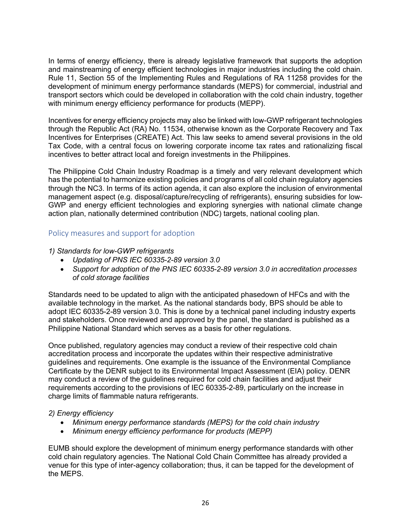In terms of energy efficiency, there is already legislative framework that supports the adoption and mainstreaming of energy efficient technologies in major industries including the cold chain. Rule 11, Section 55 of the Implementing Rules and Regulations of RA 11258 provides for the development of minimum energy performance standards (MEPS) for commercial, industrial and transport sectors which could be developed in collaboration with the cold chain industry, together with minimum energy efficiency performance for products (MEPP).

Incentives for energy efficiency projects may also be linked with low-GWP refrigerant technologies through the Republic Act (RA) No. 11534, otherwise known as the Corporate Recovery and Tax Incentives for Enterprises (CREATE) Act. This law seeks to amend several provisions in the old Tax Code, with a central focus on lowering corporate income tax rates and rationalizing fiscal incentives to better attract local and foreign investments in the Philippines.

The Philippine Cold Chain Industry Roadmap is a timely and very relevant development which has the potential to harmonize existing policies and programs of all cold chain regulatory agencies through the NC3. In terms of its action agenda, it can also explore the inclusion of environmental management aspect (e.g. disposal/capture/recycling of refrigerants), ensuring subsidies for low-GWP and energy efficient technologies and exploring synergies with national climate change action plan, nationally determined contribution (NDC) targets, national cooling plan.

#### Policy measures and support for adoption

#### *1) Standards for low-GWP refrigerants*

- *Updating of PNS IEC 60335-2-89 version 3.0*
- *Support for adoption of the PNS IEC 60335-2-89 version 3.0 in accreditation processes of cold storage facilities*

Standards need to be updated to align with the anticipated phasedown of HFCs and with the available technology in the market. As the national standards body, BPS should be able to adopt IEC 60335-2-89 version 3.0. This is done by a technical panel including industry experts and stakeholders. Once reviewed and approved by the panel, the standard is published as a Philippine National Standard which serves as a basis for other regulations.

Once published, regulatory agencies may conduct a review of their respective cold chain accreditation process and incorporate the updates within their respective administrative guidelines and requirements. One example is the issuance of the Environmental Compliance Certificate by the DENR subject to its Environmental Impact Assessment (EIA) policy. DENR may conduct a review of the guidelines required for cold chain facilities and adjust their requirements according to the provisions of IEC 60335-2-89, particularly on the increase in charge limits of flammable natura refrigerants.

#### *2) Energy efficiency*

- *Minimum energy performance standards (MEPS) for the cold chain industry*
- *Minimum energy efficiency performance for products (MEPP)*

EUMB should explore the development of minimum energy performance standards with other cold chain regulatory agencies. The National Cold Chain Committee has already provided a venue for this type of inter-agency collaboration; thus, it can be tapped for the development of the MEPS.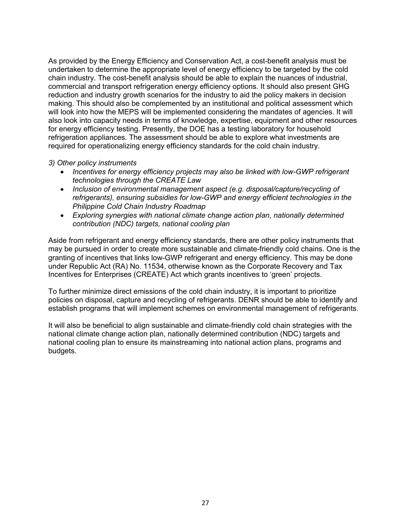As provided by the Energy Efficiency and Conservation Act, a cost-benefit analysis must be undertaken to determine the appropriate level of energy efficiency to be targeted by the cold chain industry. The cost-benefit analysis should be able to explain the nuances of industrial, commercial and transport refrigeration energy efficiency options. It should also present GHG reduction and industry growth scenarios for the industry to aid the policy makers in decision making. This should also be complemented by an institutional and political assessment which will look into how the MEPS will be implemented considering the mandates of agencies. It will also look into capacity needs in terms of knowledge, expertise, equipment and other resources for energy efficiency testing. Presently, the DOE has a testing laboratory for household refrigeration appliances. The assessment should be able to explore what investments are required for operationalizing energy efficiency standards for the cold chain industry.

#### *3) Other policy instruments*

- *Incentives for energy efficiency projects may also be linked with low-GWP refrigerant technologies through the CREATE Law*
- *Inclusion of environmental management aspect (e.g. disposal/capture/recycling of refrigerants), ensuring subsidies for low-GWP and energy efficient technologies in the Philippine Cold Chain Industry Roadmap*
- *Exploring synergies with national climate change action plan, nationally determined contribution (NDC) targets, national cooling plan*

Aside from refrigerant and energy efficiency standards, there are other policy instruments that may be pursued in order to create more sustainable and climate-friendly cold chains. One is the granting of incentives that links low-GWP refrigerant and energy efficiency. This may be done under Republic Act (RA) No. 11534, otherwise known as the Corporate Recovery and Tax Incentives for Enterprises (CREATE) Act which grants incentives to 'green' projects.

To further minimize direct emissions of the cold chain industry, it is important to prioritize policies on disposal, capture and recycling of refrigerants. DENR should be able to identify and establish programs that will implement schemes on environmental management of refrigerants.

It will also be beneficial to align sustainable and climate-friendly cold chain strategies with the national climate change action plan, nationally determined contribution (NDC) targets and national cooling plan to ensure its mainstreaming into national action plans, programs and budgets.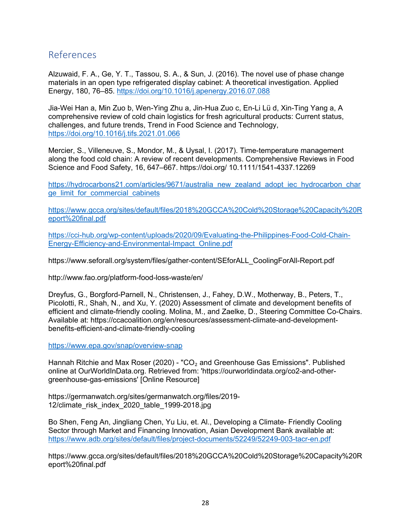## References

Alzuwaid, F. A., Ge, Y. T., Tassou, S. A., & Sun, J. (2016). The novel use of phase change materials in an open type refrigerated display cabinet: A theoretical investigation. Applied Energy, 180, 76–85. https://doi.org/10.1016/j.apenergy.2016.07.088

Jia-Wei Han a, Min Zuo b, Wen-Ying Zhu a, Jin-Hua Zuo c, En-Li Lü d, Xin-Ting Yang a, A comprehensive review of cold chain logistics for fresh agricultural products: Current status, challenges, and future trends, Trend in Food Science and Technology, https://doi.org/10.1016/j.tifs.2021.01.066

Mercier, S., Villeneuve, S., Mondor, M., & Uysal, I. (2017). Time-temperature management along the food cold chain: A review of recent developments. Comprehensive Reviews in Food Science and Food Safety, 16, 647–667. https://doi.org/ 10.1111/1541-4337.12269

https://hydrocarbons21.com/articles/9671/australia\_new\_zealand\_adopt\_iec\_hydrocarbon\_char ge\_limit\_for\_commercial\_cabinets

https://www.gcca.org/sites/default/files/2018%20GCCA%20Cold%20Storage%20Capacity%20R eport%20final.pdf

https://cci-hub.org/wp-content/uploads/2020/09/Evaluating-the-Philippines-Food-Cold-Chain-Energy-Efficiency-and-Environmental-Impact\_Online.pdf

https://www.seforall.org/system/files/gather-content/SEforALL\_CoolingForAll-Report.pdf

http://www.fao.org/platform-food-loss-waste/en/

Dreyfus, G., Borgford-Parnell, N., Christensen, J., Fahey, D.W., Motherway, B., Peters, T., Picolotti, R., Shah, N., and Xu, Y. (2020) Assessment of climate and development benefits of efficient and climate-friendly cooling. Molina, M., and Zaelke, D., Steering Committee Co-Chairs. Available at: https://ccacoalition.org/en/resources/assessment-climate-and-developmentbenefits-efficient-and-climate-friendly-cooling

https://www.epa.gov/snap/overview-snap

Hannah Ritchie and Max Roser (2020) - "CO<sub>2</sub> and Greenhouse Gas Emissions". Published online at OurWorldInData.org. Retrieved from: 'https://ourworldindata.org/co2-and-othergreenhouse-gas-emissions' [Online Resource]

https://germanwatch.org/sites/germanwatch.org/files/2019- 12/climate\_risk\_index\_2020\_table\_1999-2018.jpg

Bo Shen, Feng An, Jingliang Chen, Yu Liu, et. Al., Developing a Climate- Friendly Cooling Sector through Market and Financing Innovation, Asian Development Bank available at: https://www.adb.org/sites/default/files/project-documents/52249/52249-003-tacr-en.pdf

https://www.gcca.org/sites/default/files/2018%20GCCA%20Cold%20Storage%20Capacity%20R eport%20final.pdf